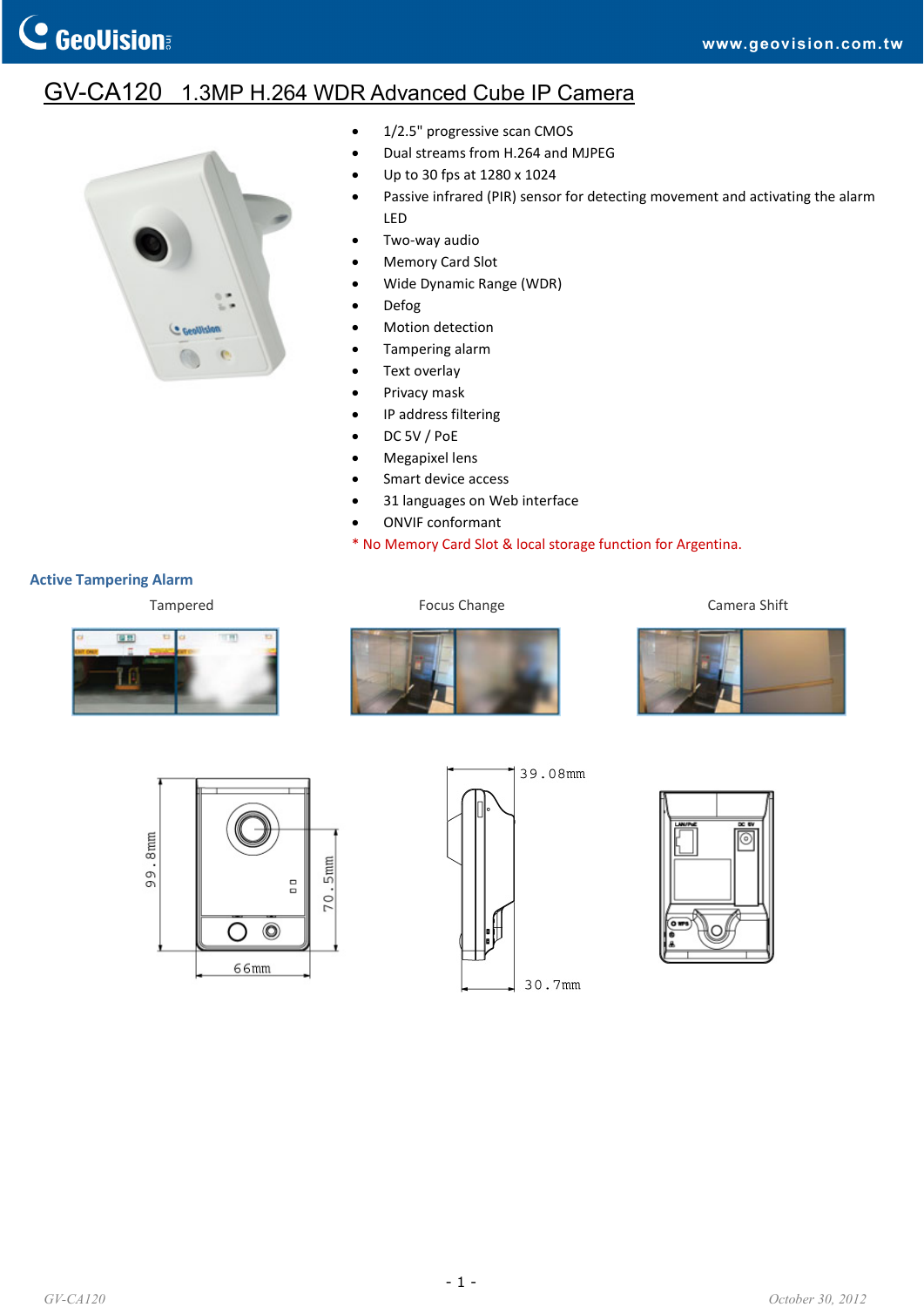## GV-CA120 1.3MP H.264 WDR Advanced Cube IP Camera



- 1/2.5" progressive scan CMOS
- Dual streams from H.264 and MJPEG
- Up to 30 fps at 1280 x 1024
- Passive infrared (PIR) sensor for detecting movement and activating the alarm LED
- Two‐way audio
- Memory Card Slot
- Wide Dynamic Range (WDR)
- Defog
- Motion detection
- Tampering alarm
- Text overlay
- Privacy mask
- IP address filtering
- DC 5V / PoE
- Megapixel lens
- Smart device access
- 31 languages on Web interface
- ONVIF conformant

\* No Memory Card Slot & local storage function for Argentina.

## **Active Tampering Alarm**

Tampered **Focus Change Camera Shift Camera** Shift











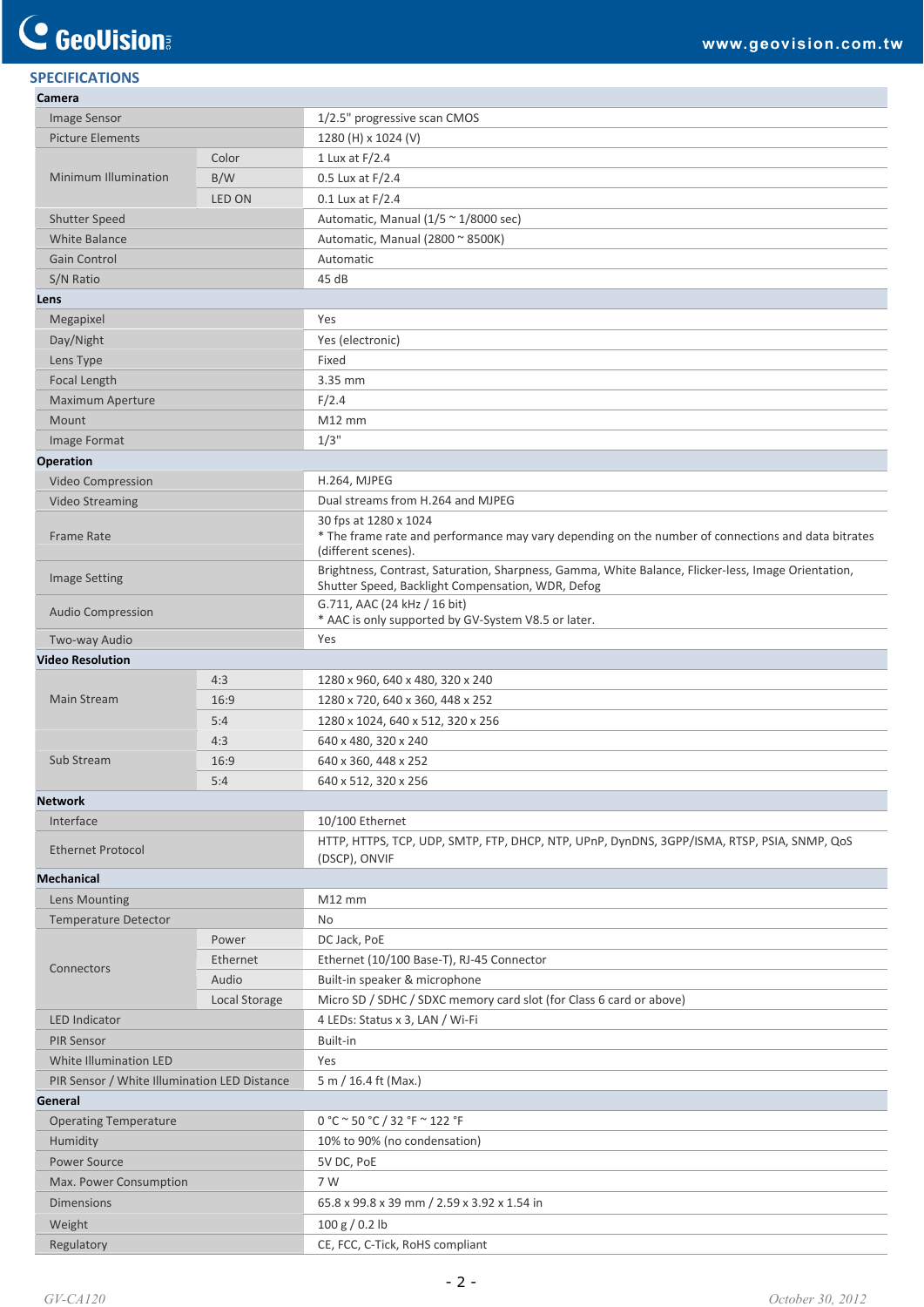## **SPECIFICATIONS Camera**

| Image Sensor                                 |               | 1/2.5" progressive scan CMOS                                                                                                                             |
|----------------------------------------------|---------------|----------------------------------------------------------------------------------------------------------------------------------------------------------|
| <b>Picture Elements</b>                      |               | 1280 (H) x 1024 (V)                                                                                                                                      |
| Minimum Illumination                         | Color         | 1 Lux at F/2.4                                                                                                                                           |
|                                              | B/W           | 0.5 Lux at F/2.4                                                                                                                                         |
|                                              | LED ON        | $0.1$ Lux at $F/2.4$                                                                                                                                     |
| <b>Shutter Speed</b>                         |               | Automatic, Manual ( $1/5 \approx 1/8000$ sec)                                                                                                            |
| <b>White Balance</b>                         |               | Automatic, Manual (2800 ~ 8500K)                                                                                                                         |
| <b>Gain Control</b>                          |               | Automatic                                                                                                                                                |
| S/N Ratio                                    |               | 45 dB                                                                                                                                                    |
| Lens                                         |               |                                                                                                                                                          |
| Megapixel                                    |               | Yes                                                                                                                                                      |
| Day/Night                                    |               | Yes (electronic)                                                                                                                                         |
| Lens Type                                    |               | Fixed                                                                                                                                                    |
| Focal Length                                 |               | 3.35 mm                                                                                                                                                  |
| Maximum Aperture                             |               | F/2.4                                                                                                                                                    |
| Mount                                        |               | $M12$ mm                                                                                                                                                 |
| Image Format                                 |               | 1/3"                                                                                                                                                     |
| Operation                                    |               |                                                                                                                                                          |
| Video Compression                            |               | H.264, MJPEG                                                                                                                                             |
| <b>Video Streaming</b>                       |               | Dual streams from H.264 and MJPEG                                                                                                                        |
|                                              |               | 30 fps at 1280 x 1024                                                                                                                                    |
| <b>Frame Rate</b>                            |               | * The frame rate and performance may vary depending on the number of connections and data bitrates<br>(different scenes).                                |
| <b>Image Setting</b>                         |               | Brightness, Contrast, Saturation, Sharpness, Gamma, White Balance, Flicker-less, Image Orientation,<br>Shutter Speed, Backlight Compensation, WDR, Defog |
| Audio Compression                            |               | G.711, AAC (24 kHz / 16 bit)<br>* AAC is only supported by GV-System V8.5 or later.                                                                      |
| Two-way Audio                                |               | Yes                                                                                                                                                      |
| <b>Video Resolution</b>                      |               |                                                                                                                                                          |
| <b>Main Stream</b>                           | 4:3           | 1280 x 960, 640 x 480, 320 x 240                                                                                                                         |
|                                              | 16:9          | 1280 x 720, 640 x 360, 448 x 252                                                                                                                         |
|                                              | 5:4           | 1280 x 1024, 640 x 512, 320 x 256                                                                                                                        |
|                                              | 4:3           | 640 x 480, 320 x 240                                                                                                                                     |
| Sub Stream                                   | 16:9          | 640 x 360, 448 x 252                                                                                                                                     |
|                                              | 5:4           | 640 x 512, 320 x 256                                                                                                                                     |
| <b>Network</b>                               |               |                                                                                                                                                          |
| Interface                                    |               | 10/100 Ethernet                                                                                                                                          |
| <b>Ethernet Protocol</b>                     |               | HTTP, HTTPS, TCP, UDP, SMTP, FTP, DHCP, NTP, UPnP, DynDNS, 3GPP/ISMA, RTSP, PSIA, SNMP, QOS<br>(DSCP), ONVIF                                             |
| <b>Mechanical</b>                            |               |                                                                                                                                                          |
| Lens Mounting                                |               | $M12$ mm                                                                                                                                                 |
| <b>Temperature Detector</b>                  |               | No                                                                                                                                                       |
| Connectors                                   | Power         | DC Jack, PoE                                                                                                                                             |
|                                              | Ethernet      | Ethernet (10/100 Base-T), RJ-45 Connector                                                                                                                |
|                                              | Audio         | Built-in speaker & microphone                                                                                                                            |
|                                              | Local Storage | Micro SD / SDHC / SDXC memory card slot (for Class 6 card or above)                                                                                      |
| <b>LED Indicator</b>                         |               | 4 LEDs: Status x 3, LAN / Wi-Fi                                                                                                                          |
| <b>PIR Sensor</b>                            |               | Built-in                                                                                                                                                 |
| White Illumination LED                       |               | Yes                                                                                                                                                      |
| PIR Sensor / White Illumination LED Distance |               | 5 m / 16.4 ft (Max.)                                                                                                                                     |
| General                                      |               |                                                                                                                                                          |
| <b>Operating Temperature</b>                 |               | 0 °C ~ 50 °C / 32 °F ~ 122 °F                                                                                                                            |
| Humidity                                     |               | 10% to 90% (no condensation)                                                                                                                             |
| <b>Power Source</b>                          |               | 5V DC, PoE                                                                                                                                               |
| Max. Power Consumption                       |               | 7 W                                                                                                                                                      |
| <b>Dimensions</b>                            |               | 65.8 x 99.8 x 39 mm / 2.59 x 3.92 x 1.54 in                                                                                                              |
| Weight                                       |               | 100 g / 0.2 lb                                                                                                                                           |
| Regulatory                                   |               | CE, FCC, C-Tick, RoHS compliant                                                                                                                          |